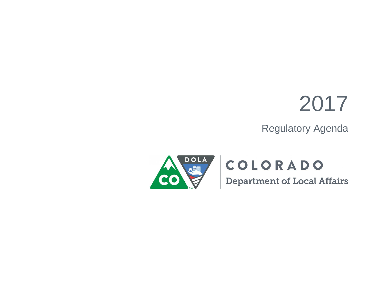## 2017

Regulatory Agenda



## COLORADO

**Department of Local Affairs**